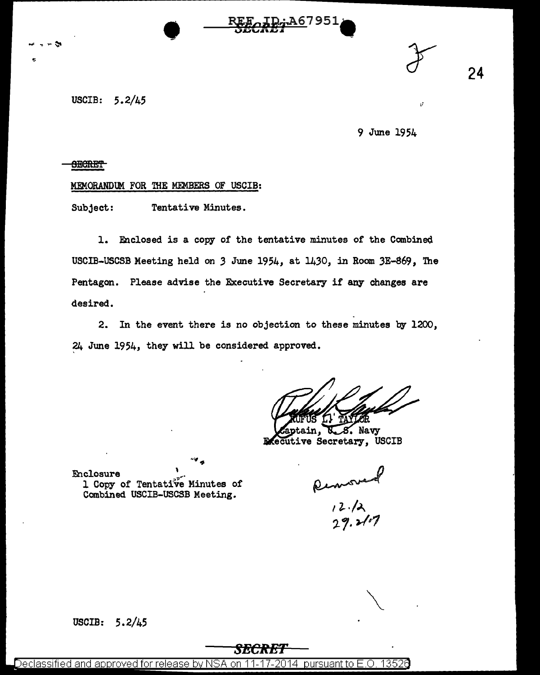

9 June 1954

÷A6795.

24

#### <del>SECRET</del>

#### MEMORANDUM FOR THE MEMBERS OF USCIB:

Subject: Tentative Minutes.

1. Enclosed is a copy of the tentative minutes of the Combined. USCIB-USCSB Meeting held on *3* June 1954, at 1430, in Room 3E-S69, The Pentagon. Please advise the Executive Secretary if any changes are desired.

2. In the event there is no objection to these minutes by 1200, 24 June 1954, they will be considered approved.

. Navy ve Secretary, USCIB

**Enclosure** 1 Copy of Tentati've Minutes of Combined USCIB-USCSB Meeting.

Removed<br>12.12<br>29.2107

USCIB: 5.2/45

## *SECRET*

Declassified and approved for release by NSA on 11-17-2014 pursuant to E.O. 13526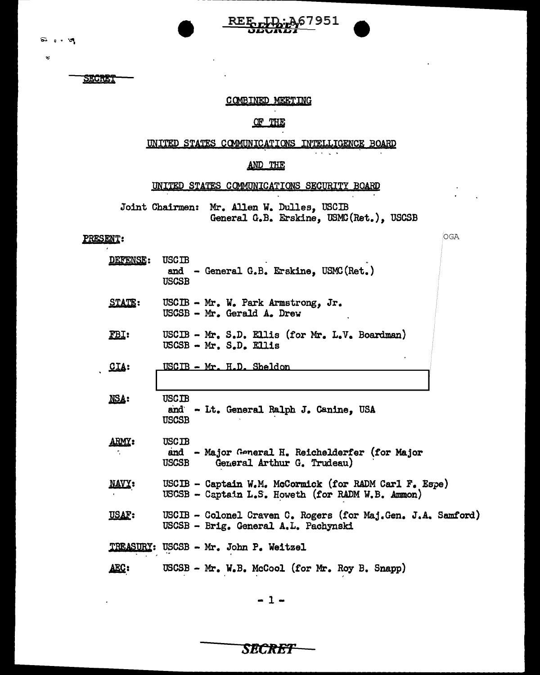$\mathbf{z}$ 

SECRET

## COMBINED MEETING

REE TD: A67951

# OF THE

## UNITED STATES COMMUNICATIONS INTELLIGENCE BOARD

 $\omega \rightarrow$ 

OGA

### AND THE

### UNITED STATES COMMUNICATIONS SECURITY BOARD

Joint Chairmen: Mr. Allen W. Dulles, USCIB General G.B. Erskine, USMC(Ret.), USCSB

## PRESENT:

| DEFENSE:      | <b>USCIB</b><br>and - General G.B. Erskine, USMC (Ret.)<br><b>USCSB</b>                                     |
|---------------|-------------------------------------------------------------------------------------------------------------|
| <b>STATE:</b> | USCIB - Mr. W. Park Armstrong, Jr.<br>USCSB - Mr. Gerald A. Drew                                            |
| EBI:          | USCIB - Mr. S.D. Ellis (for Mr. L.V. Boardman)<br>USCSB - Mr. S.D. Ellis                                    |
| CLA:          | USCIB - Mr. H.D. Sheldon                                                                                    |
|               |                                                                                                             |
| NSA:          | <b>USCIB</b><br>and - Lt. General Ralph J. Canine, USA<br>USCSB                                             |
| ARMY:         | <b>USCIB</b><br>and - Major General H. Reichelderfer (for Major<br>General Arthur G. Trudeau)<br>USCSB      |
| <b>NAVY:</b>  | USCIB - Captain W.M. McCormick (for RADM Carl F. Espe)<br>USCSB - Captain L.S. Howeth (for RADM W.B. Ammon) |
| <b>USAF:</b>  | USCIB - Colonel Craven C. Rogers (for Maj.Gen. J.A. Samford)<br>USCSB - Brig. General A.L. Pachynski        |
|               | TREASURY: USCSB - Mr. John P. Weitzel                                                                       |
| AEC:          | USCSB - Mr. W.B. McCool (for Mr. Roy B. Snapp)                                                              |

**SECRET**